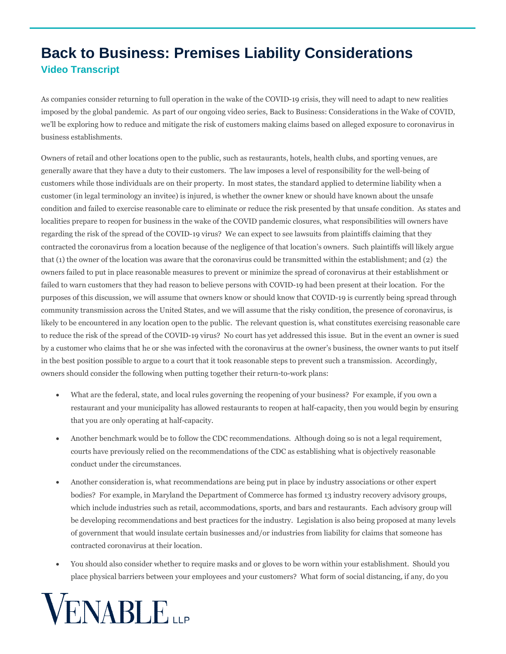## **Back to Business: Premises Liability Considerations Video Transcript**

As companies consider returning to full operation in the wake of the COVID-19 crisis, they will need to adapt to new realities imposed by the global pandemic. As part of our ongoing video series, Back to Business: Considerations in the Wake of COVID, we'll be exploring how to reduce and mitigate the risk of customers making claims based on alleged exposure to coronavirus in business establishments.

Owners of retail and other locations open to the public, such as restaurants, hotels, health clubs, and sporting venues, are generally aware that they have a duty to their customers. The law imposes a level of responsibility for the well-being of customers while those individuals are on their property. In most states, the standard applied to determine liability when a customer (in legal terminology an invitee) is injured, is whether the owner knew or should have known about the unsafe condition and failed to exercise reasonable care to eliminate or reduce the risk presented by that unsafe condition. As states and localities prepare to reopen for business in the wake of the COVID pandemic closures, what responsibilities will owners have regarding the risk of the spread of the COVID-19 virus? We can expect to see lawsuits from plaintiffs claiming that they contracted the coronavirus from a location because of the negligence of that location's owners. Such plaintiffs will likely argue that (1) the owner of the location was aware that the coronavirus could be transmitted within the establishment; and (2) the owners failed to put in place reasonable measures to prevent or minimize the spread of coronavirus at their establishment or failed to warn customers that they had reason to believe persons with COVID-19 had been present at their location. For the purposes of this discussion, we will assume that owners know or should know that COVID-19 is currently being spread through community transmission across the United States, and we will assume that the risky condition, the presence of coronavirus, is likely to be encountered in any location open to the public. The relevant question is, what constitutes exercising reasonable care to reduce the risk of the spread of the COVID-19 virus? No court has yet addressed this issue. But in the event an owner is sued by a customer who claims that he or she was infected with the coronavirus at the owner's business, the owner wants to put itself in the best position possible to argue to a court that it took reasonable steps to prevent such a transmission. Accordingly, owners should consider the following when putting together their return-to-work plans:

- What are the federal, state, and local rules governing the reopening of your business? For example, if you own a restaurant and your municipality has allowed restaurants to reopen at half-capacity, then you would begin by ensuring that you are only operating at half-capacity.
- Another benchmark would be to follow the CDC recommendations. Although doing so is not a legal requirement, courts have previously relied on the recommendations of the CDC as establishing what is objectively reasonable conduct under the circumstances.
- Another consideration is, what recommendations are being put in place by industry associations or other expert bodies? For example, in Maryland the Department of Commerce has formed 13 industry recovery advisory groups, which include industries such as retail, accommodations, sports, and bars and restaurants. Each advisory group will be developing recommendations and best practices for the industry. Legislation is also being proposed at many levels of government that would insulate certain businesses and/or industries from liability for claims that someone has contracted coronavirus at their location.
- You should also consider whether to require masks and or gloves to be worn within your establishment. Should you place physical barriers between your employees and your customers? What form of social distancing, if any, do you